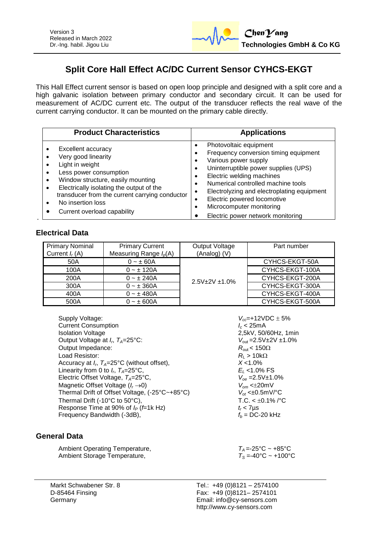

# **Split Core Hall Effect AC/DC Current Sensor CYHCS-EKGT**

This Hall Effect current sensor is based on open loop principle and designed with a split core and a high galvanic isolation between primary conductor and secondary circuit. It can be used for measurement of AC/DC current etc. The output of the transducer reflects the real wave of the current carrying conductor. It can be mounted on the primary cable directly.

| <b>Product Characteristics</b>                 | <b>Applications</b>                        |
|------------------------------------------------|--------------------------------------------|
| Excellent accuracy                             | Photovoltaic equipment                     |
| Very good linearity                            | ٠                                          |
| Light in weight                                | Frequency conversion timing equipment      |
| Less power consumption                         | Various power supply                       |
| $\bullet$                                      |                                            |
| Window structure, easily mounting              | Uninterruptible power supplies (UPS)       |
| ٠                                              | ٠                                          |
| Electrically isolating the output of the       | Electric welding machines                  |
| $\bullet$                                      | Numerical controlled machine tools         |
| transducer from the current carrying conductor | Electrolyzing and electroplating equipment |
| No insertion loss                              | Electric powered locomotive                |
| $\bullet$                                      | Microcomputer monitoring                   |
| Current overload capability                    | Electric power network monitoring          |

# **Electrical Data**

| <b>Primary Nominal</b><br>Current $I_r(A)$ | <b>Primary Current</b><br>Measuring Range $I_p(A)$ | Output Voltage<br>(Analog) (V) | Part number     |
|--------------------------------------------|----------------------------------------------------|--------------------------------|-----------------|
| 50A                                        | $0 - \pm 60A$                                      | 2.5V±2V±1.0%                   | CYHCS-EKGT-50A  |
| 100A                                       | $0 - \pm 120A$                                     |                                | CYHCS-EKGT-100A |
| 200A                                       | $0 - \pm 240A$                                     |                                | CYHCS-EKGT-200A |
| 300A                                       | $0 - \pm 360A$                                     |                                | CYHCS-EKGT-300A |
| 400A                                       | $0 - \pm 480A$                                     |                                | CYHCS-EKGT-400A |
| 500A                                       | $0 - \pm 600A$                                     |                                | CYHCS-EKGT-500A |

| Supply Voltage:                                         | $V_{cc} = +12$           |
|---------------------------------------------------------|--------------------------|
| <b>Current Consumption</b>                              | $l_c$ < 25r              |
| <b>Isolation Voltage</b>                                | 2,5kV,                   |
| Output Voltage at $I_r$ , $T_A=25^{\circ}$ C:           | $V_{\text{out}} = 2$ .   |
| Output Impedance:                                       | $R_{\text{out}}$ < 1     |
| Load Resistor:                                          | $R_{\rm l} > 10$         |
| Accuracy at $I_r$ , $T_A=25^{\circ}C$ (without offset), | $X < 1.0^{\circ}$        |
| Linearity from 0 to $I_r$ , $T_A = 25^{\circ}$ C,       | $E_1$ < 1.0              |
| Electric Offset Voltage, $T_A = 25^{\circ}$ C,          | $V_{\alpha} = 2.5$       |
| Magnetic Offset Voltage $(I_r \rightarrow 0)$           | $V_{\alpha m}$ < $\pm 2$ |
| Thermal Drift of Offset Voltage, (-25°C~+85°C)          | $V_{\alpha t}$ < $\pm 0$ |
| Thermal Drift (-10°C to 50°C),                          | T.C. <                   |
| Response Time at 90% of $I_P$ ( <i>f</i> =1k Hz)        | $t_r$ < 7 $\mu$ s        |
| Frequency Bandwidth (-3dB),                             | $f_h = DC$               |
|                                                         |                          |

## **General Data**

Ambient Operating Temperature,  $T_A = -25^{\circ}\text{C} \sim +85^{\circ}\text{C}$ <br>Ambient Storage Temperature,  $T_S = -40^{\circ}\text{C} \sim +100^{\circ}\text{C}$ Ambient Storage Temperature,

 $V_{cc}$ =+12VDC ± 5%  $I_c < 25$ mA 2,5kV, 50/60Hz, 1min  $V_{\text{out}} = 2.5V \pm 2V \pm 1.0\%$  $R_{\text{out}}$  < 150 $\Omega$  $R_{\text{l}} > 10 \text{k}\Omega$ , *TA*=25°C (without offset), *X* <1.0%  $E_L$  <1.0% FS Electric Offset Voltage, *TA*=25°C, *Voe* =2.5V±1.0% Magnetic Offset Voltage (*I<sup>r</sup>* 0) *Vom* <20mV  $V_{\text{ot}}$  < $\pm$ 0.5mV/°C  $T.C. < \pm 0.1\%$  /°C  $f_b = \overline{DC}$ -20 kHz

Markt Schwabener Str. 8 D-85464 Finsing Germany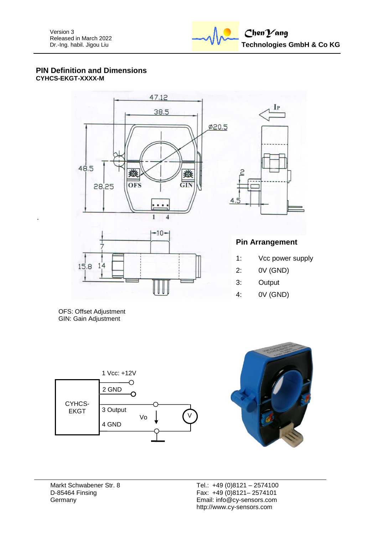

### **PIN Definition and Dimensions CYHCS-EKGT-XXXX-M**



OFS: Offset Adjustment GIN: Gain Adjustment